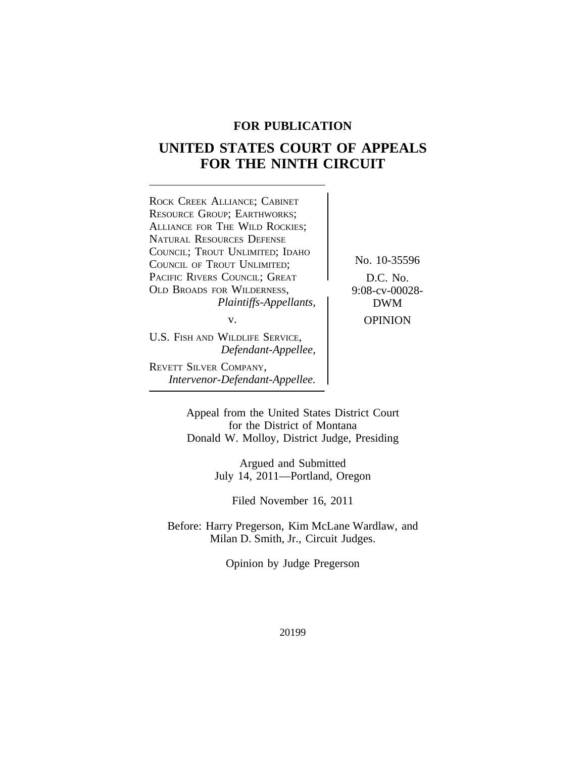## **FOR PUBLICATION**

# **UNITED STATES COURT OF APPEALS FOR THE NINTH CIRCUIT**

| ROCK CREEK ALLIANCE; CABINET                                   |                   |
|----------------------------------------------------------------|-------------------|
| <b>RESOURCE GROUP; EARTHWORKS;</b>                             |                   |
| ALLIANCE FOR THE WILD ROCKIES;                                 |                   |
| <b>NATURAL RESOURCES DEFENSE</b>                               |                   |
| COUNCIL; TROUT UNLIMITED; IDAHO<br>COUNCIL OF TROUT UNLIMITED; | No. 10-35596      |
| PACIFIC RIVERS COUNCIL; GREAT                                  | D.C. No.          |
| OLD BROADS FOR WILDERNESS,                                     | $9:08$ -cv-00028- |
| Plaintiffs-Appellants,                                         | <b>DWM</b>        |
| V.                                                             | <b>OPINION</b>    |
| U.S. FISH AND WILDLIFE SERVICE,<br>Defendant-Appellee,         |                   |
| REVETT SILVER COMPANY,                                         |                   |

*Intervenor-Defendant-Appellee.*

Appeal from the United States District Court for the District of Montana Donald W. Molloy, District Judge, Presiding

> Argued and Submitted July 14, 2011—Portland, Oregon

> > Filed November 16, 2011

Before: Harry Pregerson, Kim McLane Wardlaw, and Milan D. Smith, Jr., Circuit Judges.

Opinion by Judge Pregerson

20199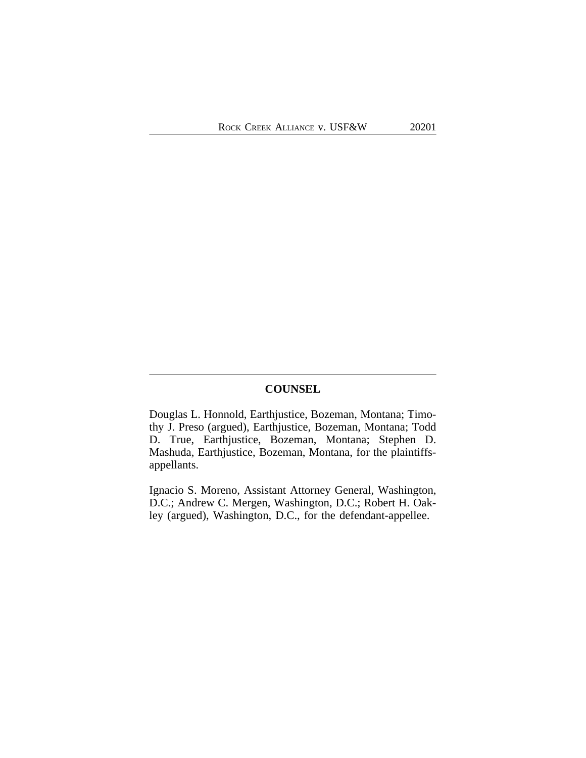## **COUNSEL**

Douglas L. Honnold, Earthjustice, Bozeman, Montana; Timothy J. Preso (argued), Earthjustice, Bozeman, Montana; Todd D. True, Earthjustice, Bozeman, Montana; Stephen D. Mashuda, Earthjustice, Bozeman, Montana, for the plaintiffsappellants.

Ignacio S. Moreno, Assistant Attorney General, Washington, D.C.; Andrew C. Mergen, Washington, D.C.; Robert H. Oakley (argued), Washington, D.C., for the defendant-appellee.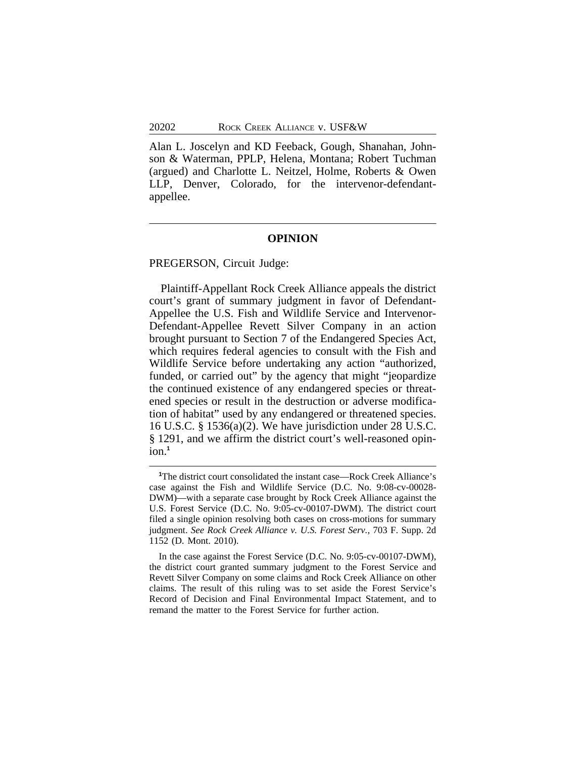Alan L. Joscelyn and KD Feeback, Gough, Shanahan, Johnson & Waterman, PPLP, Helena, Montana; Robert Tuchman (argued) and Charlotte L. Neitzel, Holme, Roberts & Owen LLP, Denver, Colorado, for the intervenor-defendantappellee.

#### **OPINION**

PREGERSON, Circuit Judge:

Plaintiff-Appellant Rock Creek Alliance appeals the district court's grant of summary judgment in favor of Defendant-Appellee the U.S. Fish and Wildlife Service and Intervenor-Defendant-Appellee Revett Silver Company in an action brought pursuant to Section 7 of the Endangered Species Act, which requires federal agencies to consult with the Fish and Wildlife Service before undertaking any action "authorized, funded, or carried out" by the agency that might "jeopardize the continued existence of any endangered species or threatened species or result in the destruction or adverse modification of habitat" used by any endangered or threatened species. 16 U.S.C. § 1536(a)(2). We have jurisdiction under 28 U.S.C. § 1291, and we affirm the district court's well-reasoned opin $ion<sup>1</sup>$ 

**<sup>1</sup>**The district court consolidated the instant case—Rock Creek Alliance's case against the Fish and Wildlife Service (D.C. No. 9:08-cv-00028- DWM)—with a separate case brought by Rock Creek Alliance against the U.S. Forest Service (D.C. No. 9:05-cv-00107-DWM). The district court filed a single opinion resolving both cases on cross-motions for summary judgment. *See Rock Creek Alliance v. U.S. Forest Serv.,* 703 F. Supp. 2d 1152 (D. Mont. 2010).

In the case against the Forest Service (D.C. No. 9:05-cv-00107-DWM), the district court granted summary judgment to the Forest Service and Revett Silver Company on some claims and Rock Creek Alliance on other claims. The result of this ruling was to set aside the Forest Service's Record of Decision and Final Environmental Impact Statement, and to remand the matter to the Forest Service for further action.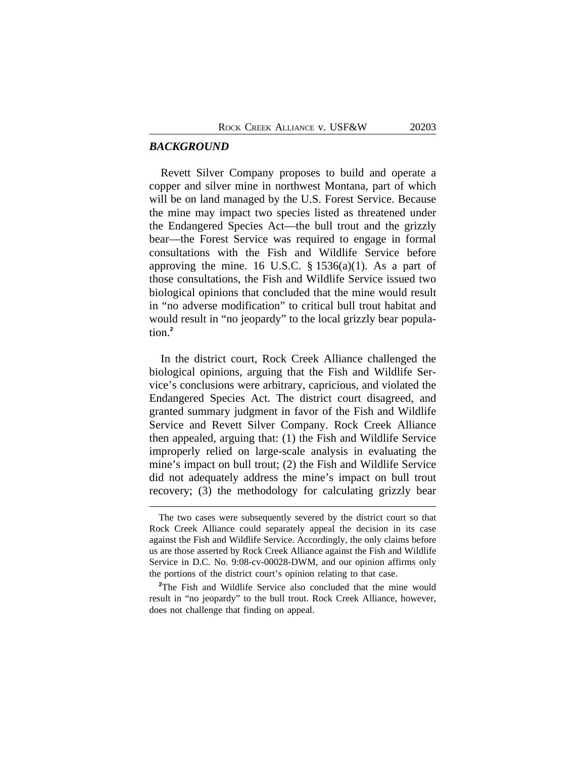#### *BACKGROUND*

Revett Silver Company proposes to build and operate a copper and silver mine in northwest Montana, part of which will be on land managed by the U.S. Forest Service. Because the mine may impact two species listed as threatened under the Endangered Species Act—the bull trout and the grizzly bear—the Forest Service was required to engage in formal consultations with the Fish and Wildlife Service before approving the mine. 16 U.S.C.  $\S$  1536(a)(1). As a part of those consultations, the Fish and Wildlife Service issued two biological opinions that concluded that the mine would result in "no adverse modification" to critical bull trout habitat and would result in "no jeopardy" to the local grizzly bear population.**<sup>2</sup>**

In the district court, Rock Creek Alliance challenged the biological opinions, arguing that the Fish and Wildlife Service's conclusions were arbitrary, capricious, and violated the Endangered Species Act. The district court disagreed, and granted summary judgment in favor of the Fish and Wildlife Service and Revett Silver Company. Rock Creek Alliance then appealed, arguing that: (1) the Fish and Wildlife Service improperly relied on large-scale analysis in evaluating the mine's impact on bull trout; (2) the Fish and Wildlife Service did not adequately address the mine's impact on bull trout recovery; (3) the methodology for calculating grizzly bear

The two cases were subsequently severed by the district court so that Rock Creek Alliance could separately appeal the decision in its case against the Fish and Wildlife Service. Accordingly, the only claims before us are those asserted by Rock Creek Alliance against the Fish and Wildlife Service in D.C. No. 9:08-cv-00028-DWM, and our opinion affirms only the portions of the district court's opinion relating to that case.

**<sup>2</sup>**The Fish and Wildlife Service also concluded that the mine would result in "no jeopardy" to the bull trout. Rock Creek Alliance, however, does not challenge that finding on appeal.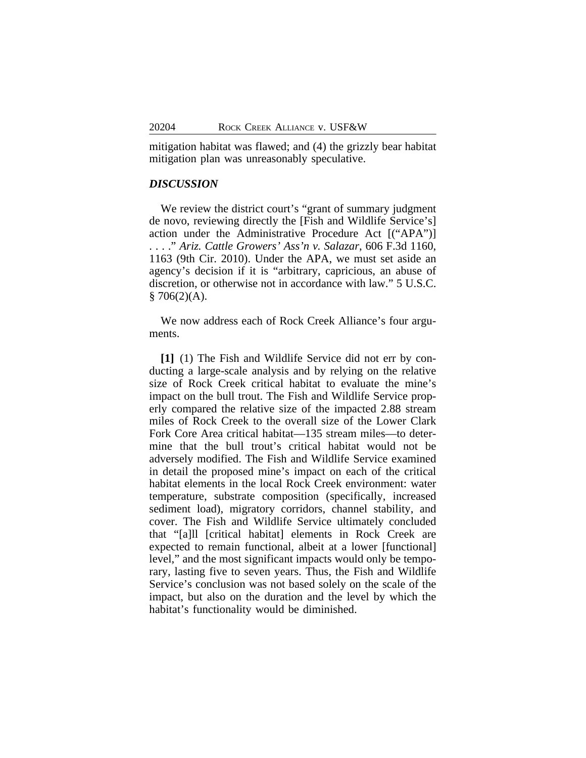mitigation habitat was flawed; and (4) the grizzly bear habitat mitigation plan was unreasonably speculative.

### *DISCUSSION*

We review the district court's "grant of summary judgment" de novo, reviewing directly the [Fish and Wildlife Service's] action under the Administrative Procedure Act [("APA")] . . . ." *Ariz. Cattle Growers' Ass'n v. Salazar*, 606 F.3d 1160, 1163 (9th Cir. 2010). Under the APA, we must set aside an agency's decision if it is "arbitrary, capricious, an abuse of discretion, or otherwise not in accordance with law." 5 U.S.C.  $$706(2)(A).$ 

We now address each of Rock Creek Alliance's four arguments.

**[1]** (1) The Fish and Wildlife Service did not err by conducting a large-scale analysis and by relying on the relative size of Rock Creek critical habitat to evaluate the mine's impact on the bull trout. The Fish and Wildlife Service properly compared the relative size of the impacted 2.88 stream miles of Rock Creek to the overall size of the Lower Clark Fork Core Area critical habitat—135 stream miles—to determine that the bull trout's critical habitat would not be adversely modified. The Fish and Wildlife Service examined in detail the proposed mine's impact on each of the critical habitat elements in the local Rock Creek environment: water temperature, substrate composition (specifically, increased sediment load), migratory corridors, channel stability, and cover. The Fish and Wildlife Service ultimately concluded that "[a]ll [critical habitat] elements in Rock Creek are expected to remain functional, albeit at a lower [functional] level," and the most significant impacts would only be temporary, lasting five to seven years. Thus, the Fish and Wildlife Service's conclusion was not based solely on the scale of the impact, but also on the duration and the level by which the habitat's functionality would be diminished.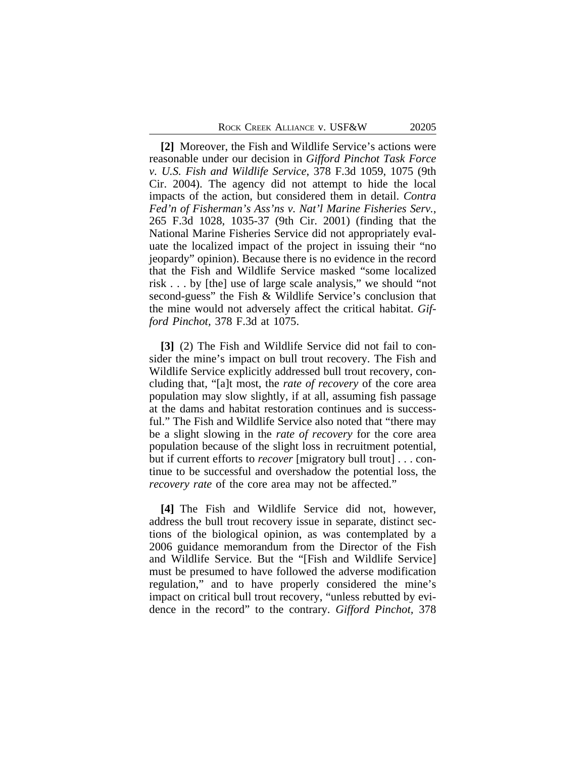**[2]** Moreover, the Fish and Wildlife Service's actions were reasonable under our decision in *Gifford Pinchot Task Force v. U.S. Fish and Wildlife Service*, 378 F.3d 1059, 1075 (9th Cir. 2004). The agency did not attempt to hide the local impacts of the action, but considered them in detail. *Contra Fed'n of Fisherman's Ass'ns v. Nat'l Marine Fisheries Serv.*, 265 F.3d 1028, 1035-37 (9th Cir. 2001) (finding that the National Marine Fisheries Service did not appropriately evaluate the localized impact of the project in issuing their "no jeopardy" opinion). Because there is no evidence in the record that the Fish and Wildlife Service masked "some localized risk . . . by [the] use of large scale analysis," we should "not second-guess" the Fish & Wildlife Service's conclusion that the mine would not adversely affect the critical habitat. *Gifford Pinchot,* 378 F.3d at 1075.

**[3]** (2) The Fish and Wildlife Service did not fail to consider the mine's impact on bull trout recovery. The Fish and Wildlife Service explicitly addressed bull trout recovery, concluding that, "[a]t most, the *rate of recovery* of the core area population may slow slightly, if at all, assuming fish passage at the dams and habitat restoration continues and is successful." The Fish and Wildlife Service also noted that "there may be a slight slowing in the *rate of recovery* for the core area population because of the slight loss in recruitment potential, but if current efforts to *recover* [migratory bull trout] . . . continue to be successful and overshadow the potential loss, the *recovery rate* of the core area may not be affected."

**[4]** The Fish and Wildlife Service did not, however, address the bull trout recovery issue in separate, distinct sections of the biological opinion, as was contemplated by a 2006 guidance memorandum from the Director of the Fish and Wildlife Service. But the "[Fish and Wildlife Service] must be presumed to have followed the adverse modification regulation," and to have properly considered the mine's impact on critical bull trout recovery, "unless rebutted by evidence in the record" to the contrary. *Gifford Pinchot,* 378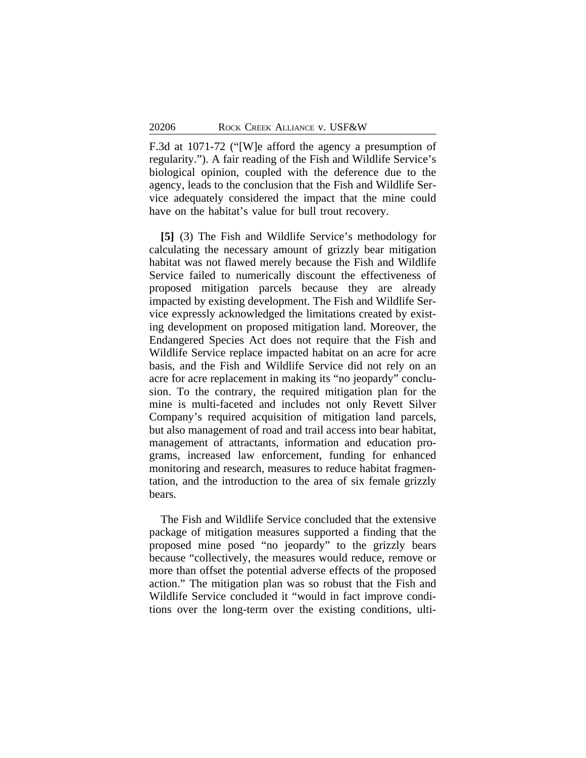F.3d at 1071-72 ("[W]e afford the agency a presumption of regularity."). A fair reading of the Fish and Wildlife Service's biological opinion, coupled with the deference due to the agency, leads to the conclusion that the Fish and Wildlife Service adequately considered the impact that the mine could have on the habitat's value for bull trout recovery.

**[5]** (3) The Fish and Wildlife Service's methodology for calculating the necessary amount of grizzly bear mitigation habitat was not flawed merely because the Fish and Wildlife Service failed to numerically discount the effectiveness of proposed mitigation parcels because they are already impacted by existing development. The Fish and Wildlife Service expressly acknowledged the limitations created by existing development on proposed mitigation land. Moreover, the Endangered Species Act does not require that the Fish and Wildlife Service replace impacted habitat on an acre for acre basis, and the Fish and Wildlife Service did not rely on an acre for acre replacement in making its "no jeopardy" conclusion. To the contrary, the required mitigation plan for the mine is multi-faceted and includes not only Revett Silver Company's required acquisition of mitigation land parcels, but also management of road and trail access into bear habitat, management of attractants, information and education programs, increased law enforcement, funding for enhanced monitoring and research, measures to reduce habitat fragmentation, and the introduction to the area of six female grizzly bears.

The Fish and Wildlife Service concluded that the extensive package of mitigation measures supported a finding that the proposed mine posed "no jeopardy" to the grizzly bears because "collectively, the measures would reduce, remove or more than offset the potential adverse effects of the proposed action." The mitigation plan was so robust that the Fish and Wildlife Service concluded it "would in fact improve conditions over the long-term over the existing conditions, ulti